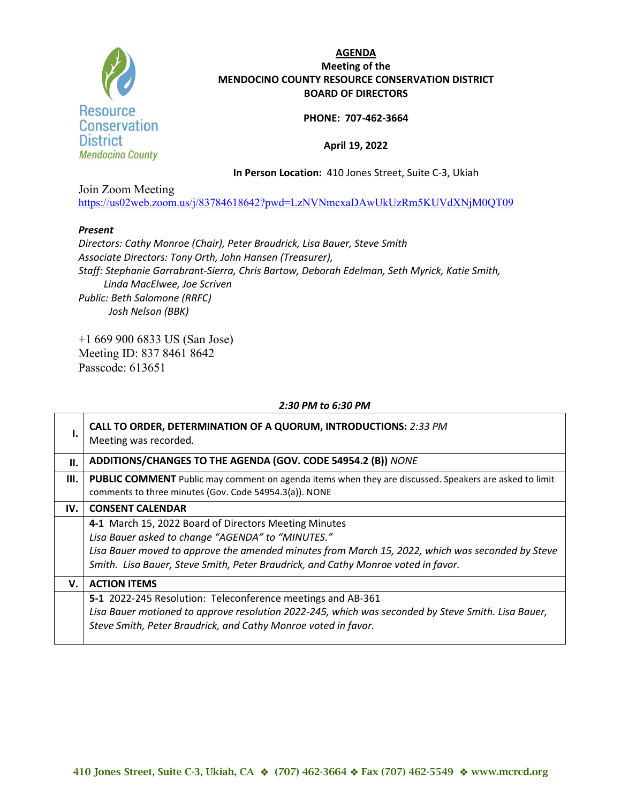

# **AGENDA Meeting of the MENDOCINO COUNTY RESOURCE CONSERVATION DISTRICT BOARD OF DIRECTORS**

## **PHONE: 707-462-3664**

# **April 19, 2022**

**In Person Location:** 410 Jones Street, Suite C-3, Ukiah

Join Zoom Meeting <https://us02web.zoom.us/j/83784618642?pwd=LzNVNmcxaDAwUkUzRm5KUVdXNjM0QT09>

### *Present*

*Directors: Cathy Monroe (Chair), Peter Braudrick, Lisa Bauer, Steve Smith Associate Directors: Tony Orth, John Hansen (Treasurer), Staff: Stephanie Garrabrant-Sierra, Chris Bartow, Deborah Edelman, Seth Myrick, Katie Smith, Linda MacElwee, Joe Scriven Public: Beth Salomone (RRFC) Josh Nelson (BBK)*

+1 669 900 6833 US (San Jose) Meeting ID: 837 8461 8642 Passcode: 613651

#### *2:30 PM to 6:30 PM*

|     | CALL TO ORDER, DETERMINATION OF A QUORUM, INTRODUCTIONS: 2:33 PM<br>Meeting was recorded.                                                                                                                                                                                                           |
|-----|-----------------------------------------------------------------------------------------------------------------------------------------------------------------------------------------------------------------------------------------------------------------------------------------------------|
| II. | ADDITIONS/CHANGES TO THE AGENDA (GOV. CODE 54954.2 (B)) NONE                                                                                                                                                                                                                                        |
| Ш.  | PUBLIC COMMENT Public may comment on agenda items when they are discussed. Speakers are asked to limit<br>comments to three minutes (Gov. Code 54954.3(a)). NONE                                                                                                                                    |
| IV. | <b>CONSENT CALENDAR</b>                                                                                                                                                                                                                                                                             |
|     | 4-1 March 15, 2022 Board of Directors Meeting Minutes<br>Lisa Bauer asked to change "AGENDA" to "MINUTES."<br>Lisa Bauer moved to approve the amended minutes from March 15, 2022, which was seconded by Steve<br>Smith. Lisa Bauer, Steve Smith, Peter Braudrick, and Cathy Monroe voted in favor. |
| v.  | <b>ACTION ITEMS</b>                                                                                                                                                                                                                                                                                 |
|     | 5-1 2022-245 Resolution: Teleconference meetings and AB-361<br>Lisa Bauer motioned to approve resolution 2022-245, which was seconded by Steve Smith. Lisa Bauer,<br>Steve Smith, Peter Braudrick, and Cathy Monroe voted in favor.                                                                 |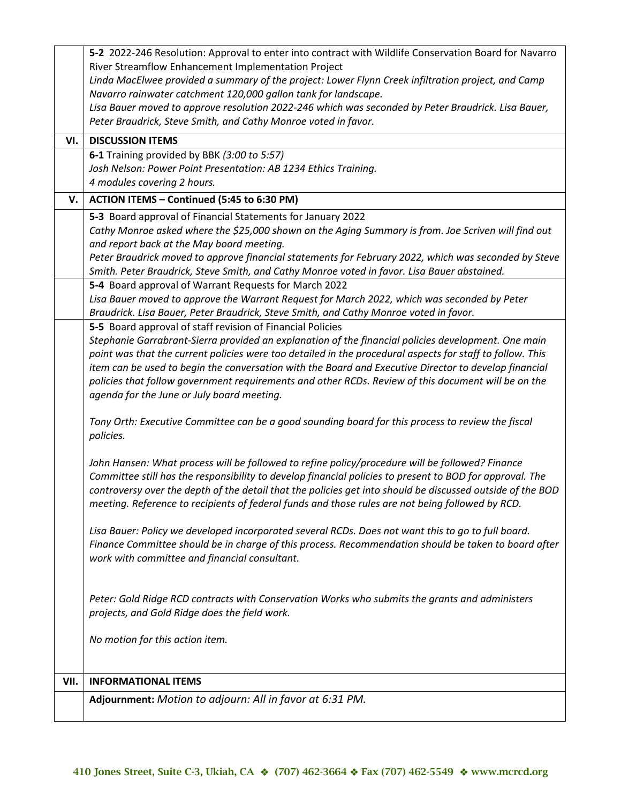|      | 5-2 2022-246 Resolution: Approval to enter into contract with Wildlife Conservation Board for Navarro                                                                                                       |
|------|-------------------------------------------------------------------------------------------------------------------------------------------------------------------------------------------------------------|
|      | River Streamflow Enhancement Implementation Project                                                                                                                                                         |
|      | Linda MacElwee provided a summary of the project: Lower Flynn Creek infiltration project, and Camp                                                                                                          |
|      | Navarro rainwater catchment 120,000 gallon tank for landscape.                                                                                                                                              |
|      | Lisa Bauer moved to approve resolution 2022-246 which was seconded by Peter Braudrick. Lisa Bauer,<br>Peter Braudrick, Steve Smith, and Cathy Monroe voted in favor.                                        |
|      |                                                                                                                                                                                                             |
| VI.  | <b>DISCUSSION ITEMS</b>                                                                                                                                                                                     |
|      | 6-1 Training provided by BBK (3:00 to 5:57)                                                                                                                                                                 |
|      | Josh Nelson: Power Point Presentation: AB 1234 Ethics Training.                                                                                                                                             |
|      | 4 modules covering 2 hours.                                                                                                                                                                                 |
| V.   | ACTION ITEMS - Continued (5:45 to 6:30 PM)                                                                                                                                                                  |
|      | 5-3 Board approval of Financial Statements for January 2022                                                                                                                                                 |
|      | Cathy Monroe asked where the \$25,000 shown on the Aging Summary is from. Joe Scriven will find out                                                                                                         |
|      | and report back at the May board meeting.                                                                                                                                                                   |
|      | Peter Braudrick moved to approve financial statements for February 2022, which was seconded by Steve                                                                                                        |
|      | Smith. Peter Braudrick, Steve Smith, and Cathy Monroe voted in favor. Lisa Bauer abstained.                                                                                                                 |
|      | 5-4 Board approval of Warrant Requests for March 2022                                                                                                                                                       |
|      | Lisa Bauer moved to approve the Warrant Request for March 2022, which was seconded by Peter<br>Braudrick. Lisa Bauer, Peter Braudrick, Steve Smith, and Cathy Monroe voted in favor.                        |
|      | 5-5 Board approval of staff revision of Financial Policies                                                                                                                                                  |
|      | Stephanie Garrabrant-Sierra provided an explanation of the financial policies development. One main                                                                                                         |
|      | point was that the current policies were too detailed in the procedural aspects for staff to follow. This                                                                                                   |
|      | item can be used to begin the conversation with the Board and Executive Director to develop financial                                                                                                       |
|      | policies that follow government requirements and other RCDs. Review of this document will be on the                                                                                                         |
|      | agenda for the June or July board meeting.                                                                                                                                                                  |
|      |                                                                                                                                                                                                             |
|      | Tony Orth: Executive Committee can be a good sounding board for this process to review the fiscal                                                                                                           |
|      | policies.                                                                                                                                                                                                   |
|      |                                                                                                                                                                                                             |
|      | John Hansen: What process will be followed to refine policy/procedure will be followed? Finance<br>Committee still has the responsibility to develop financial policies to present to BOD for approval. The |
|      | controversy over the depth of the detail that the policies get into should be discussed outside of the BOD                                                                                                  |
|      | meeting. Reference to recipients of federal funds and those rules are not being followed by RCD.                                                                                                            |
|      |                                                                                                                                                                                                             |
|      | Lisa Bauer: Policy we developed incorporated several RCDs. Does not want this to go to full board.                                                                                                          |
|      | Finance Committee should be in charge of this process. Recommendation should be taken to board after                                                                                                        |
|      | work with committee and financial consultant.                                                                                                                                                               |
|      |                                                                                                                                                                                                             |
|      |                                                                                                                                                                                                             |
|      | Peter: Gold Ridge RCD contracts with Conservation Works who submits the grants and administers                                                                                                              |
|      | projects, and Gold Ridge does the field work.                                                                                                                                                               |
|      | No motion for this action item.                                                                                                                                                                             |
|      |                                                                                                                                                                                                             |
|      |                                                                                                                                                                                                             |
| VII. | <b>INFORMATIONAL ITEMS</b>                                                                                                                                                                                  |
|      | Adjournment: Motion to adjourn: All in favor at 6:31 PM.                                                                                                                                                    |
|      |                                                                                                                                                                                                             |